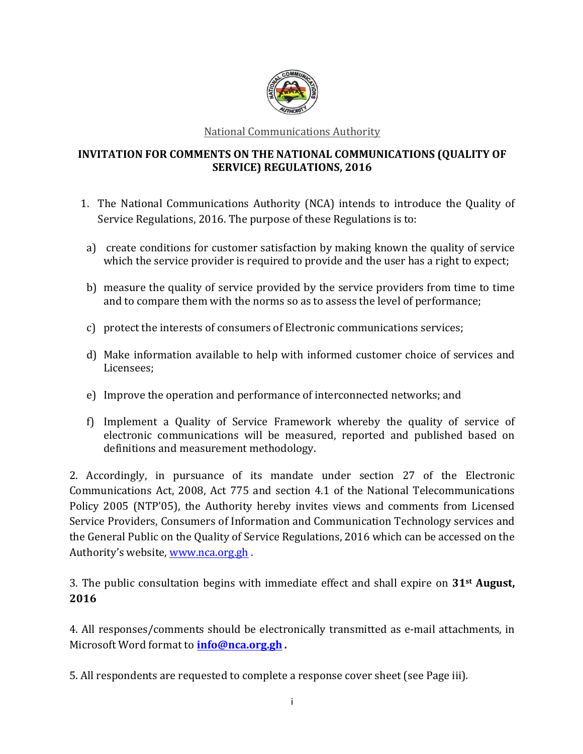

National Communications Authority

### **INVITATION FOR COMMENTS ON THE NATIONAL COMMUNICATIONS (QUALITY OF SERVICE) REGULATIONS, 2016**

- 1. The National Communications Authority (NCA) intends to introduce the Quality of Service Regulations, 2016. The purpose of these Regulations is to:
- a) create conditions for customer satisfaction by making known the quality of service which the service provider is required to provide and the user has a right to expect;
- b) measure the quality of service provided by the service providers from time to time and to compare them with the norms so as to assess the level of performance;
- c) protect the interests of consumers of Electronic communications services;
- d) Make information available to help with informed customer choice of services and Licensees;
- e) Improve the operation and performance of interconnected networks; and
- f) Implement a Quality of Service Framework whereby the quality of service of electronic communications will be measured, reported and published based on definitions and measurement methodology.

2. Accordingly, in pursuance of its mandate under section 27 of the Electronic Communications Act, 2008, Act 775 and section 4.1 of the National Telecommunications Policy 2005 (NTP'05), the Authority hereby invites views and comments from Licensed Service Providers, Consumers of Information and Communication Technology services and the General Public on the Quality of Service Regulations, 2016 which can be accessed on the Authority's website, www.nca.org.gh.

**3.** The public consultation begins with immediate effect and shall expire on **31**<sup>st</sup> August, **2016** 

4. All responses/comments should be electronically transmitted as e-mail attachments, in Microsoft Word format to **info@nca.org.gh** .

5. All respondents are requested to complete a response cover sheet (see Page iii).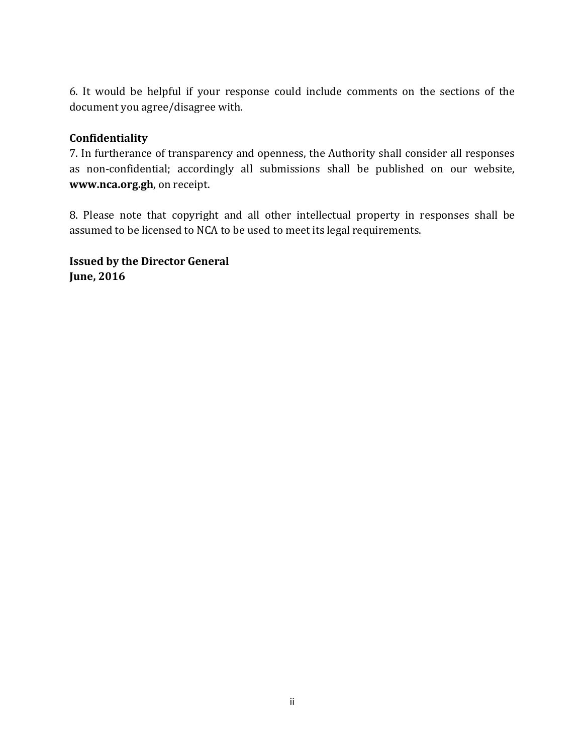6. It would be helpful if your response could include comments on the sections of the document you agree/disagree with.

#### **Confidentiality**

7. In furtherance of transparency and openness, the Authority shall consider all responses as non-confidential; accordingly all submissions shall be published on our website, **www.nca.org.gh**, on receipt.

8. Please note that copyright and all other intellectual property in responses shall be assumed to be licensed to NCA to be used to meet its legal requirements.

**Issued by the Director General June, 2016**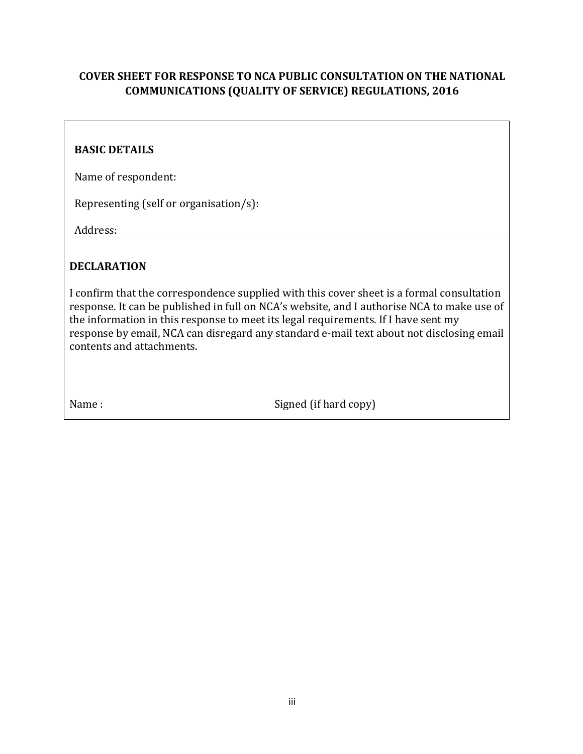# **COVER SHEET FOR RESPONSE TO NCA PUBLIC CONSULTATION ON THE NATIONAL COMMUNICATIONS (OUALITY OF SERVICE) REGULATIONS, 2016**

## **BASIC DETAILS**

Name of respondent:

Representing (self or organisation/s):

Address: 

# **DECLARATION**

I confirm that the correspondence supplied with this cover sheet is a formal consultation response. It can be published in full on NCA's website, and I authorise NCA to make use of the information in this response to meet its legal requirements. If I have sent my response by email, NCA can disregard any standard e-mail text about not disclosing email contents and attachments.

Name : Signed (if hard copy)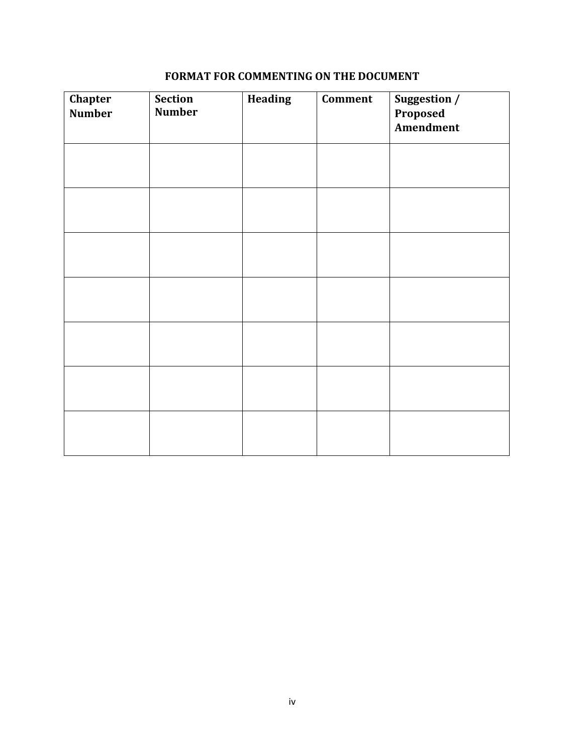# **FORMAT FOR COMMENTING ON THE DOCUMENT**

| Chapter<br><b>Number</b> | <b>Section</b><br><b>Number</b> | <b>Heading</b> | <b>Comment</b> | Suggestion /<br>Proposed<br><b>Amendment</b> |
|--------------------------|---------------------------------|----------------|----------------|----------------------------------------------|
|                          |                                 |                |                |                                              |
|                          |                                 |                |                |                                              |
|                          |                                 |                |                |                                              |
|                          |                                 |                |                |                                              |
|                          |                                 |                |                |                                              |
|                          |                                 |                |                |                                              |
|                          |                                 |                |                |                                              |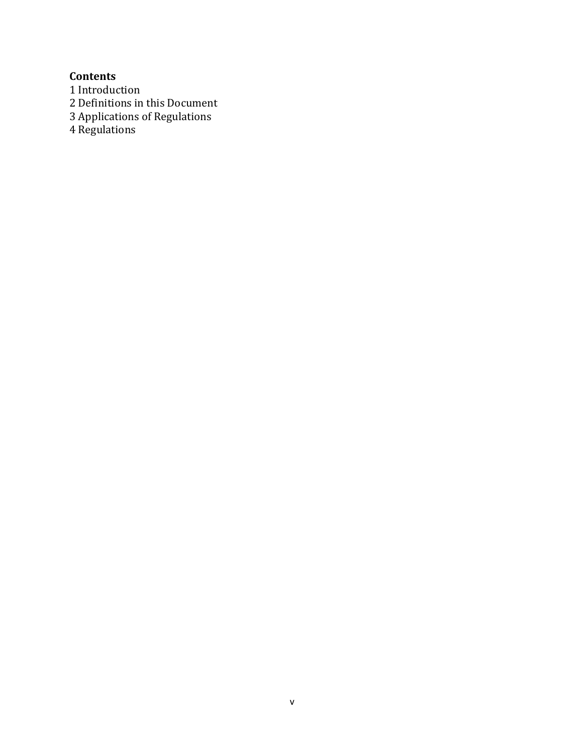**Contents** 

1 Introduction

2 Definitions in this Document

3 Applications of Regulations

4 Regulations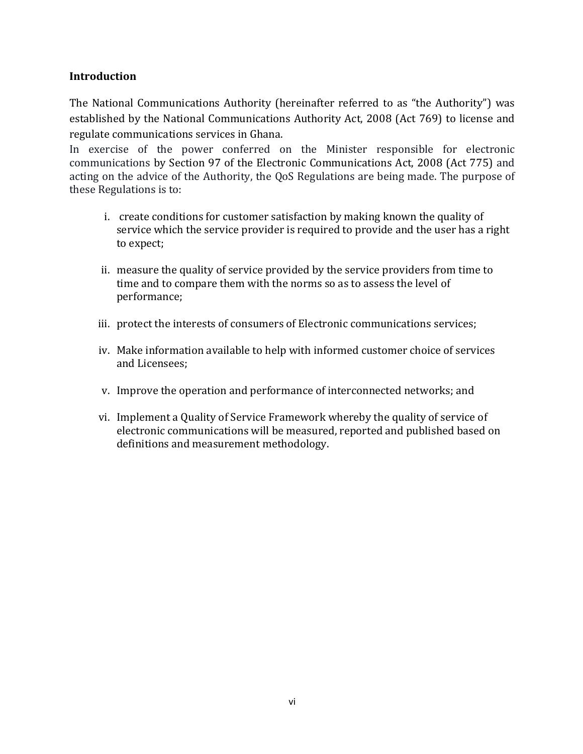# **Introduction**

The National Communications Authority (hereinafter referred to as "the Authority") was established by the National Communications Authority Act, 2008 (Act 769) to license and regulate communications services in Ghana.

In exercise of the power conferred on the Minister responsible for electronic communications by Section 97 of the Electronic Communications Act, 2008 (Act 775) and acting on the advice of the Authority, the QoS Regulations are being made. The purpose of these Regulations is to:

- i. create conditions for customer satisfaction by making known the quality of service which the service provider is required to provide and the user has a right to expect;
- ii. measure the quality of service provided by the service providers from time to time and to compare them with the norms so as to assess the level of performance;
- iii. protect the interests of consumers of Electronic communications services;
- iv. Make information available to help with informed customer choice of services and Licensees;
- v. Improve the operation and performance of interconnected networks; and
- vi. Implement a Quality of Service Framework whereby the quality of service of electronic communications will be measured, reported and published based on definitions and measurement methodology.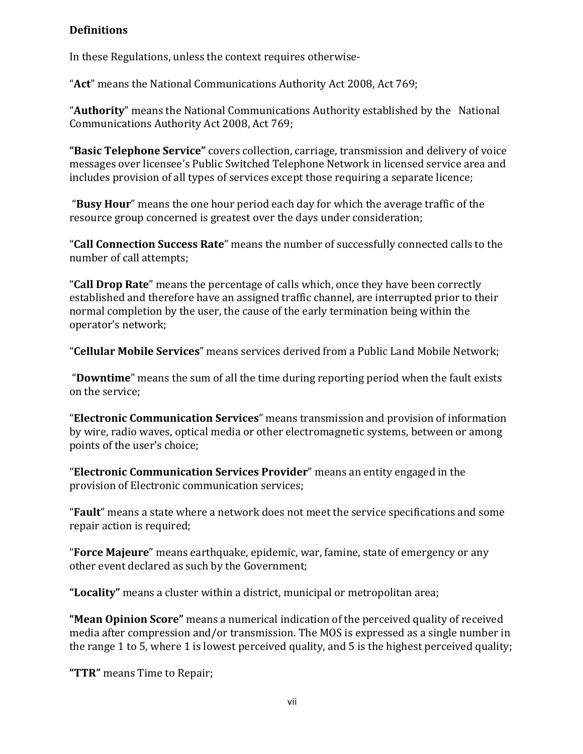#### **Definitions**

In these Regulations, unless the context requires otherwise-

"Act" means the National Communications Authority Act 2008, Act 769;

"**Authority**" means the National Communications Authority established by the National Communications Authority Act 2008, Act 769;

"Basic Telephone Service" covers collection, carriage, transmission and delivery of voice messages over licensee's Public Switched Telephone Network in licensed service area and includes provision of all types of services except those requiring a separate licence;

"Busy Hour" means the one hour period each day for which the average traffic of the resource group concerned is greatest over the days under consideration;

"Call Connection Success Rate" means the number of successfully connected calls to the number of call attempts;

"**Call Drop Rate**" means the percentage of calls which, once they have been correctly established and therefore have an assigned traffic channel, are interrupted prior to their normal completion by the user, the cause of the early termination being within the operator's network;

"**Cellular Mobile Services**" means services derived from a Public Land Mobile Network;

"**Downtime**" means the sum of all the time during reporting period when the fault exists on the service;

"**Electronic Communication Services**" means transmission and provision of information by wire, radio waves, optical media or other electromagnetic systems, between or among points of the user's choice;

"**Electronic Communication Services Provider**" means an entity engaged in the provision of Electronic communication services;

**"Fault**" means a state where a network does not meet the service specifications and some repair action is required;

**"Force Majeure**" means earthquake, epidemic, war, famine, state of emergency or any other event declared as such by the Government;

"Locality" means a cluster within a district, municipal or metropolitan area;

**"Mean Opinion Score"** means a numerical indication of the perceived quality of received media after compression and/or transmission. The MOS is expressed as a single number in the range 1 to 5, where 1 is lowest perceived quality, and 5 is the highest perceived quality;

**"TTR"** means Time to Repair;